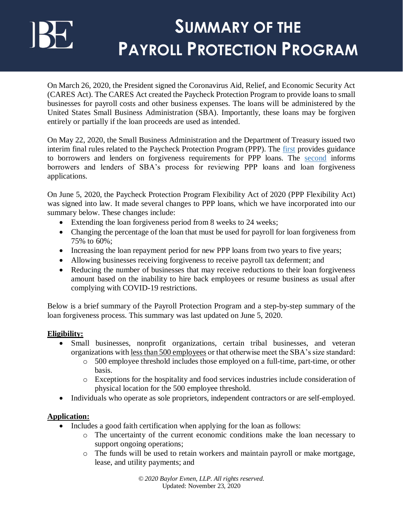On March 26, 2020, the President signed the Coronavirus Aid, Relief, and Economic Security Act (CARES Act). The CARES Act created the Paycheck Protection Program to provide loans to small businesses for payroll costs and other business expenses. The loans will be administered by the United States Small Business Administration (SBA). Importantly, these loans may be forgiven entirely or partially if the loan proceeds are used as intended.

On May 22, 2020, the Small Business Administration and the Department of Treasury issued two interim final rules related to the Paycheck Protection Program (PPP). The [first](https://home.treasury.gov/system/files/136/PPP-IFR-Loan-Forgiveness.pdf) provides guidance to borrowers and lenders on forgiveness requirements for PPP loans. The [second](https://home.treasury.gov/system/files/136/PPP-IFR-SBA-Loan-Review-Procedures-and-Related-Borrower-and-Lender-Responsibilities.pdf) informs borrowers and lenders of SBA's process for reviewing PPP loans and loan forgiveness applications.

On June 5, 2020, the Paycheck Protection Program Flexibility Act of 2020 (PPP Flexibility Act) was signed into law. It made several changes to PPP loans, which we have incorporated into our summary below. These changes include:

- Extending the loan forgiveness period from 8 weeks to 24 weeks;
- Changing the percentage of the loan that must be used for payroll for loan forgiveness from 75% to 60%;
- Increasing the loan repayment period for new PPP loans from two years to five years;
- Allowing businesses receiving forgiveness to receive payroll tax deferment; and
- Reducing the number of businesses that may receive reductions to their loan forgiveness amount based on the inability to hire back employees or resume business as usual after complying with COVID-19 restrictions.

Below is a brief summary of the Payroll Protection Program and a step-by-step summary of the loan forgiveness process. This summary was last updated on June 5, 2020.

### **Eligibility:**

- Small businesses, nonprofit organizations, certain tribal businesses, and veteran organizations with less than 500 employees or that otherwise meet the SBA's size standard:
	- o 500 employee threshold includes those employed on a full-time, part-time, or other basis.
	- o Exceptions for the hospitality and food services industries include consideration of physical location for the 500 employee threshold.
- Individuals who operate as sole proprietors, independent contractors or are self-employed.

### **Application:**

- Includes a good faith certification when applying for the loan as follows:
	- o The uncertainty of the current economic conditions make the loan necessary to support ongoing operations;
	- o The funds will be used to retain workers and maintain payroll or make mortgage, lease, and utility payments; and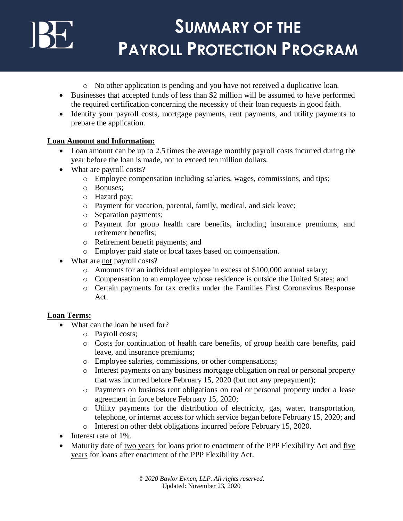- o No other application is pending and you have not received a duplicative loan.
- Businesses that accepted funds of less than \$2 million will be assumed to have performed the required certification concerning the necessity of their loan requests in good faith.
- Identify your payroll costs, mortgage payments, rent payments, and utility payments to prepare the application.

### **Loan Amount and Information:**

- Loan amount can be up to 2.5 times the average monthly payroll costs incurred during the year before the loan is made, not to exceed ten million dollars.
- What are payroll costs?
	- o Employee compensation including salaries, wages, commissions, and tips;
	- o Bonuses;
	- o Hazard pay;
	- o Payment for vacation, parental, family, medical, and sick leave;
	- o Separation payments;
	- o Payment for group health care benefits, including insurance premiums, and retirement benefits;
	- o Retirement benefit payments; and
	- o Employer paid state or local taxes based on compensation.
- What are not payroll costs?
	- o Amounts for an individual employee in excess of \$100,000 annual salary;
	- o Compensation to an employee whose residence is outside the United States; and
	- o Certain payments for tax credits under the Families First Coronavirus Response Act.

### **Loan Terms:**

- What can the loan be used for?
	- o Payroll costs;
	- o Costs for continuation of health care benefits, of group health care benefits, paid leave, and insurance premiums;
	- o Employee salaries, commissions, or other compensations;
	- o Interest payments on any business mortgage obligation on real or personal property that was incurred before February 15, 2020 (but not any prepayment);
	- o Payments on business rent obligations on real or personal property under a lease agreement in force before February 15, 2020;
	- o Utility payments for the distribution of electricity, gas, water, transportation, telephone, or internet access for which service began before February 15, 2020; and
	- o Interest on other debt obligations incurred before February 15, 2020.
- $\bullet$  Interest rate of 1%.
- Maturity date of two years for loans prior to enactment of the PPP Flexibility Act and five years for loans after enactment of the PPP Flexibility Act.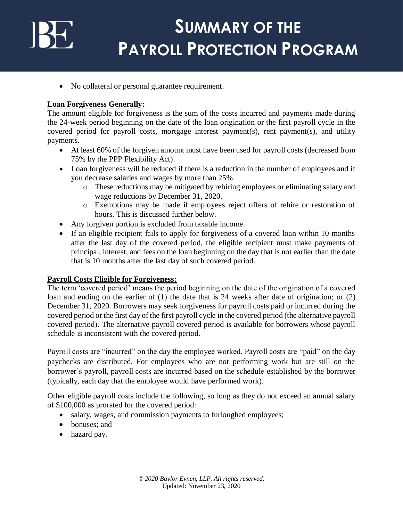• No collateral or personal guarantee requirement.

### **Loan Forgiveness Generally:**

The amount eligible for forgiveness is the sum of the costs incurred and payments made during the 24-week period beginning on the date of the loan origination or the first payroll cycle in the covered period for payroll costs, mortgage interest payment(s), rent payment(s), and utility payments.

- At least 60% of the forgiven amount must have been used for payroll costs (decreased from 75% by the PPP Flexibility Act).
- Loan forgiveness will be reduced if there is a reduction in the number of employees and if you decrease salaries and wages by more than 25%.
	- o These reductions may be mitigated by rehiring employees or eliminating salary and wage reductions by December 31, 2020.
	- o Exemptions may be made if employees reject offers of rehire or restoration of hours. This is discussed further below.
- Any forgiven portion is excluded from taxable income.
- If an eligible recipient fails to apply for forgiveness of a covered loan within 10 months after the last day of the covered period, the eligible recipient must make payments of principal, interest, and fees on the loan beginning on the day that is not earlier than the date that is 10 months after the last day of such covered period.

#### **Payroll Costs Eligible for Forgiveness:**

The term 'covered period' means the period beginning on the date of the origination of a covered loan and ending on the earlier of (1) the date that is 24 weeks after date of origination; or (2) December 31, 2020. Borrowers may seek forgiveness for payroll costs paid or incurred during the covered period or the first day of the first payroll cycle in the covered period (the alternative payroll covered period). The alternative payroll covered period is available for borrowers whose payroll schedule is inconsistent with the covered period.

Payroll costs are "incurred" on the day the employee worked. Payroll costs are "paid" on the day paychecks are distributed. For employees who are not performing work but are still on the borrower's payroll, payroll costs are incurred based on the schedule established by the borrower (typically, each day that the employee would have performed work).

Other eligible payroll costs include the following, so long as they do not exceed an annual salary of \$100,000 as prorated for the covered period:

- salary, wages, and commission payments to furloughed employees;
- bonuses; and
- hazard pay.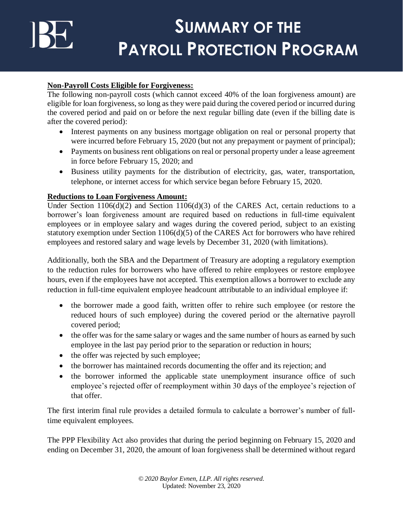### **Non-Payroll Costs Eligible for Forgiveness:**

The following non-payroll costs (which cannot exceed 40% of the loan forgiveness amount) are eligible for loan forgiveness, so long as they were paid during the covered period or incurred during the covered period and paid on or before the next regular billing date (even if the billing date is after the covered period):

- Interest payments on any business mortgage obligation on real or personal property that were incurred before February 15, 2020 (but not any prepayment or payment of principal);
- Payments on business rent obligations on real or personal property under a lease agreement in force before February 15, 2020; and
- Business utility payments for the distribution of electricity, gas, water, transportation, telephone, or internet access for which service began before February 15, 2020.

### **Reductions to Loan Forgiveness Amount:**

Under Section 1106(d)(2) and Section 1106(d)(3) of the CARES Act, certain reductions to a borrower's loan forgiveness amount are required based on reductions in full-time equivalent employees or in employee salary and wages during the covered period, subject to an existing statutory exemption under Section 1106(d)(5) of the CARES Act for borrowers who have rehired employees and restored salary and wage levels by December 31, 2020 (with limitations).

Additionally, both the SBA and the Department of Treasury are adopting a regulatory exemption to the reduction rules for borrowers who have offered to rehire employees or restore employee hours, even if the employees have not accepted. This exemption allows a borrower to exclude any reduction in full-time equivalent employee headcount attributable to an individual employee if:

- the borrower made a good faith, written offer to rehire such employee (or restore the reduced hours of such employee) during the covered period or the alternative payroll covered period;
- the offer was for the same salary or wages and the same number of hours as earned by such employee in the last pay period prior to the separation or reduction in hours;
- the offer was rejected by such employee;
- the borrower has maintained records documenting the offer and its rejection; and
- the borrower informed the applicable state unemployment insurance office of such employee's rejected offer of reemployment within 30 days of the employee's rejection of that offer.

The first interim final rule provides a detailed formula to calculate a borrower's number of fulltime equivalent employees.

The PPP Flexibility Act also provides that during the period beginning on February 15, 2020 and ending on December 31, 2020, the amount of loan forgiveness shall be determined without regard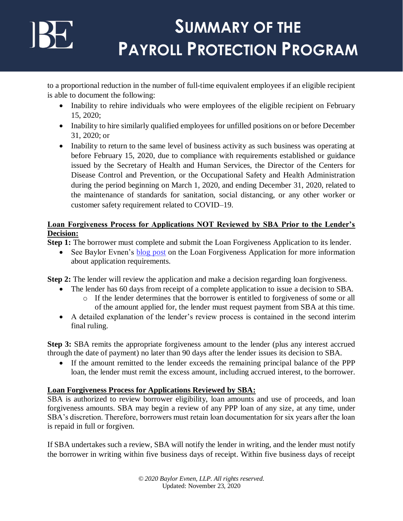to a proportional reduction in the number of full-time equivalent employees if an eligible recipient is able to document the following:

- Inability to rehire individuals who were employees of the eligible recipient on February 15, 2020;
- Inability to hire similarly qualified employees for unfilled positions on or before December 31, 2020; or
- Inability to return to the same level of business activity as such business was operating at before February 15, 2020, due to compliance with requirements established or guidance issued by the Secretary of Health and Human Services, the Director of the Centers for Disease Control and Prevention, or the Occupational Safety and Health Administration during the period beginning on March 1, 2020, and ending December 31, 2020, related to the maintenance of standards for sanitation, social distancing, or any other worker or customer safety requirement related to COVID–19.

### **Loan Forgiveness Process for Applications NOT Reviewed by SBA Prior to the Lender's Decision:**

**Step 1:** The borrower must complete and submit the Loan Forgiveness Application to its lender.

• See Baylor Evnen's [blog post](https://baylorevnen.com/ppp-loan-forgiveness-app-released/) on the Loan Forgiveness Application for more information about application requirements.

**Step 2:** The lender will review the application and make a decision regarding loan forgiveness.

- The lender has 60 days from receipt of a complete application to issue a decision to SBA. o If the lender determines that the borrower is entitled to forgiveness of some or all of the amount applied for, the lender must request payment from SBA at this time.
- A detailed explanation of the lender's review process is contained in the second interim final ruling.

**Step 3:** SBA remits the appropriate forgiveness amount to the lender (plus any interest accrued through the date of payment) no later than 90 days after the lender issues its decision to SBA.

 If the amount remitted to the lender exceeds the remaining principal balance of the PPP loan, the lender must remit the excess amount, including accrued interest, to the borrower.

### **Loan Forgiveness Process for Applications Reviewed by SBA:**

SBA is authorized to review borrower eligibility, loan amounts and use of proceeds, and loan forgiveness amounts. SBA may begin a review of any PPP loan of any size, at any time, under SBA's discretion. Therefore, borrowers must retain loan documentation for six years after the loan is repaid in full or forgiven.

If SBA undertakes such a review, SBA will notify the lender in writing, and the lender must notify the borrower in writing within five business days of receipt. Within five business days of receipt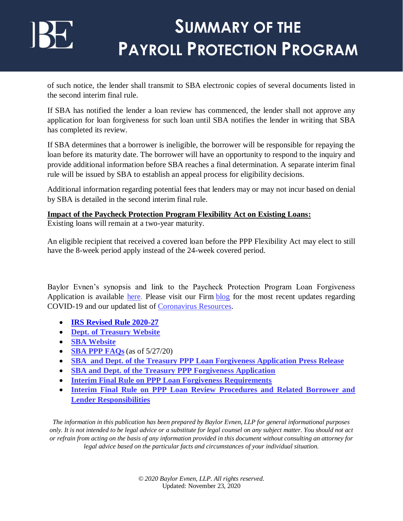of such notice, the lender shall transmit to SBA electronic copies of several documents listed in the second interim final rule.

If SBA has notified the lender a loan review has commenced, the lender shall not approve any application for loan forgiveness for such loan until SBA notifies the lender in writing that SBA has completed its review.

If SBA determines that a borrower is ineligible, the borrower will be responsible for repaying the loan before its maturity date. The borrower will have an opportunity to respond to the inquiry and provide additional information before SBA reaches a final determination. A separate interim final rule will be issued by SBA to establish an appeal process for eligibility decisions.

Additional information regarding potential fees that lenders may or may not incur based on denial by SBA is detailed in the second interim final rule.

### **Impact of the Paycheck Protection Program Flexibility Act on Existing Loans:**

Existing loans will remain at a two-year maturity.

An eligible recipient that received a covered loan before the PPP Flexibility Act may elect to still have the 8-week period apply instead of the 24-week covered period.

Baylor Evnen's synopsis and link to the Paycheck Protection Program Loan Forgiveness Application is available [here.](https://baylorevnen.com/ppp-loan-forgiveness-app-released/) Please visit our Firm [blog](https://baylorevnen.com/blog/) for the most recent updates regarding COVID-19 and our updated list of [Coronavirus Resources.](https://baylorevnen.com/wp-content/uploads/2020/04/Coronavirus-Resources-as-of-5.20.20.pdf)

- **[IRS Revised Rule 2020-27](https://www.irs.gov/pub/irs-drop/rr-20-27.pdf)**
- **Dept. [of Treasury Website](https://home.treasury.gov/cares)**
- **SBA [Website](https://www.sba.gov/funding-programs/loans/paycheck-protection-program)**
- **SBA PPP [FAQs](https://www.sba.gov/sites/default/files/2020-05/Paycheck-Protection-Program-Frequently-Asked-Questions_05%2027%2020.pdf)**(as of 5/27/20)
- **SBA and Dept. of the Treasury PPP [Loan Forgiveness Application Press Release](https://www.sba.gov/about-sba/sba-newsroom/press-releases-media-advisories/sba-and-treasury-release-paycheck-protection-program-loan-forgiveness-application)**
- **SBA and Dept. [of the Treasury PPP Forgiveness Application](https://www.sba.gov/document/sba-form--paycheck-protection-program-loan-forgiveness-application)**
- **[Interim Final Rule on PPP Loan Forgiveness Requirements](https://home.treasury.gov/system/files/136/PPP-IFR-Loan-Forgiveness.pdf)**
- **Interim Final Rule on PPP [Loan Review Procedures and Related Borrower and](https://home.treasury.gov/system/files/136/PPP-IFR-SBA-Loan-Review-Procedures-and-Related-Borrower-and-Lender-Responsibilities.pdf)  [Lender Responsibilities](https://home.treasury.gov/system/files/136/PPP-IFR-SBA-Loan-Review-Procedures-and-Related-Borrower-and-Lender-Responsibilities.pdf)**

*The information in this publication has been prepared by Baylor Evnen, LLP for general informational purposes only. It is not intended to be legal advice or a substitute for legal counsel on any subject matter. You should not act or refrain from acting on the basis of any information provided in this document without consulting an attorney for legal advice based on the particular facts and circumstances of your individual situation.*